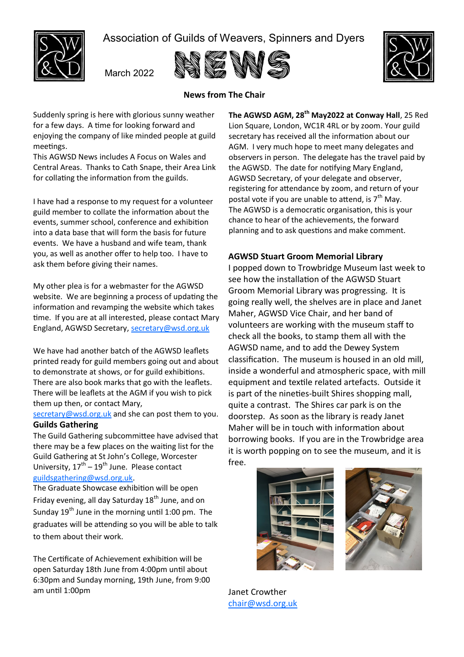

Association of Guilds of Weavers, Spinners and Dyers

March 2022





# **News from The Chair**

Suddenly spring is here with glorious sunny weather for a few days. A time for looking forward and enjoying the company of like minded people at guild meetings.

This AGWSD News includes A Focus on Wales and Central Areas. Thanks to Cath Snape, their Area Link for collating the information from the guilds.

I have had a response to my request for a volunteer guild member to collate the information about the events, summer school, conference and exhibition into a data base that will form the basis for future events. We have a husband and wife team, thank you, as well as another offer to help too. I have to ask them before giving their names.

My other plea is for a webmaster for the AGWSD website. We are beginning a process of updating the information and revamping the website which takes time. If you are at all interested, please contact Mary England, AGWSD Secretary, [secretary@wsd.org.uk](mailto:secretary@wsd.org.uk)

We have had another batch of the AGWSD leaflets printed ready for guild members going out and about to demonstrate at shows, or for guild exhibitions. There are also book marks that go with the leaflets. There will be leaflets at the AGM if you wish to pick them up then, or contact Mary,

[secretary@wsd.org.uk](mailto:secretary@wsd.org.uk) and she can post them to you. **Guilds Gathering**

The Guild Gathering subcommittee have advised that there may be a few places on the waiting list for the Guild Gathering at St John's College, Worcester University,  $17<sup>th</sup> - 19<sup>th</sup>$  June. Please contact [guildsgathering@wsd.org.uk.](mailto:guildsgathering@wsd.org.uk)

The Graduate Showcase exhibition will be open Friday evening, all day Saturday  $18<sup>th</sup>$  June, and on Sunday 19<sup>th</sup> June in the morning until 1:00 pm. The graduates will be attending so you will be able to talk to them about their work.

The Certificate of Achievement exhibition will be open Saturday 18th June from 4:00pm until about 6:30pm and Sunday morning, 19th June, from 9:00 am until 1:00pm

**The AGWSD AGM, 28th May2022 at Conway Hall**, 25 Red Lion Square, London, WC1R 4RL or by zoom. Your guild secretary has received all the information about our AGM. I very much hope to meet many delegates and observers in person. The delegate has the travel paid by the AGWSD. The date for notifying Mary England, AGWSD Secretary, of your delegate and observer, registering for attendance by zoom, and return of your postal vote if you are unable to attend, is  $7<sup>th</sup>$  May. The AGWSD is a democratic organisation, this is your chance to hear of the achievements, the forward planning and to ask questions and make comment.

## **AGWSD Stuart Groom Memorial Library**

I popped down to Trowbridge Museum last week to see how the installation of the AGWSD Stuart Groom Memorial Library was progressing. It is going really well, the shelves are in place and Janet Maher, AGWSD Vice Chair, and her band of volunteers are working with the museum staff to check all the books, to stamp them all with the AGWSD name, and to add the Dewey System classification. The museum is housed in an old mill, inside a wonderful and atmospheric space, with mill equipment and textile related artefacts. Outside it is part of the nineties-built Shires shopping mall, quite a contrast. The Shires car park is on the doorstep. As soon as the library is ready Janet Maher will be in touch with information about borrowing books. If you are in the Trowbridge area it is worth popping on to see the museum, and it is free.





Janet Crowther [chair@wsd.org.uk](mailto:chair@wsd.org.uk)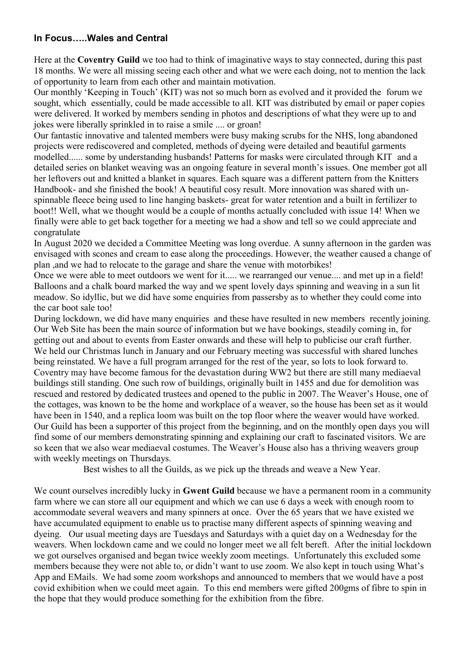## **In Focus…..Wales and Central**

Here at the **Coventry Guild** we too had to think of imaginative ways to stay connected, during this past 18 months. We were all missing seeing each other and what we were each doing, not to mention the lack of opportunity to learn from each other and maintain motivation.

Our monthly 'Keeping in Touch' (KIT) was not so much born as evolved and it provided the forum we sought, which essentially, could be made accessible to all. KIT was distributed by email or paper copies were delivered. It worked by members sending in photos and descriptions of what they were up to and jokes were liberally sprinkled in to raise a smile .... or groan!

Our fantastic innovative and talented members were busy making scrubs for the NHS, long abandoned projects were rediscovered and completed, methods of dyeing were detailed and beautiful garments modelled...... some by understanding husbands! Patterns for masks were circulated through KIT and a detailed series on blanket weaving was an ongoing feature in several month's issues. One member got all her leftovers out and knitted a blanket in squares. Each square was a different pattern from the Knitters Handbook- and she finished the book! A beautiful cosy result. More innovation was shared with unspinnable fleece being used to line hanging baskets- great for water retention and a built in fertilizer to boot!! Well, what we thought would be a couple of months actually concluded with issue 14! When we finally were able to get back together for a meeting we had a show and tell so we could appreciate and congratulate

In August 2020 we decided a Committee Meeting was long overdue. A sunny afternoon in the garden was envisaged with scones and cream to ease along the proceedings. However, the weather caused a change of plan ,and we had to relocate to the garage and share the venue with motorbikes!

Once we were able to meet outdoors we went for it..... we rearranged our venue.... and met up in a field! Balloons and a chalk board marked the way and we spent lovely days spinning and weaving in a sun lit meadow. So idyllic, but we did have some enquiries from passersby as to whether they could come into the car boot sale too!

During lockdown, we did have many enquiries and these have resulted in new members recently joining. Our Web Site has been the main source of information but we have bookings, steadily coming in, for getting out and about to events from Easter onwards and these will help to publicise our craft further. We held our Christmas lunch in January and our February meeting was successful with shared lunches being reinstated. We have a full program arranged for the rest of the year, so lots to look forward to. Coventry may have become famous for the devastation during WW2 but there are still many mediaeval buildings still standing. One such row of buildings, originally built in 1455 and due for demolition was rescued and restored by dedicated trustees and opened to the public in 2007. The Weaver's House, one of the cottages, was known to be the home and workplace of a weaver, so the house has been set as it would have been in 1540, and a replica loom was built on the top floor where the weaver would have worked. Our Guild has been a supporter of this project from the beginning, and on the monthly open days you will find some of our members demonstrating spinning and explaining our craft to fascinated visitors. We are so keen that we also wear mediaeval costumes. The Weaver's House also has a thriving weavers group with weekly meetings on Thursdays.

Best wishes to all the Guilds, as we pick up the threads and weave a New Year.

We count ourselves incredibly lucky in **Gwent Guild** because we have a permanent room in a community farm where we can store all our equipment and which we can use 6 days a week with enough room to accommodate several weavers and many spinners at once. Over the 65 years that we have existed we have accumulated equipment to enable us to practise many different aspects of spinning weaving and dyeing. Our usual meeting days are Tuesdays and Saturdays with a quiet day on a Wednesday for the weavers. When lockdown came and we could no longer meet we all felt bereft. After the initial lockdown we got ourselves organised and began twice weekly zoom meetings. Unfortunately this excluded some members because they were not able to, or didn't want to use zoom. We also kept in touch using What's App and EMails. We had some zoom workshops and announced to members that we would have a post covid exhibition when we could meet again. To this end members were gifted 200gms of fibre to spin in the hope that they would produce something for the exhibition from the fibre.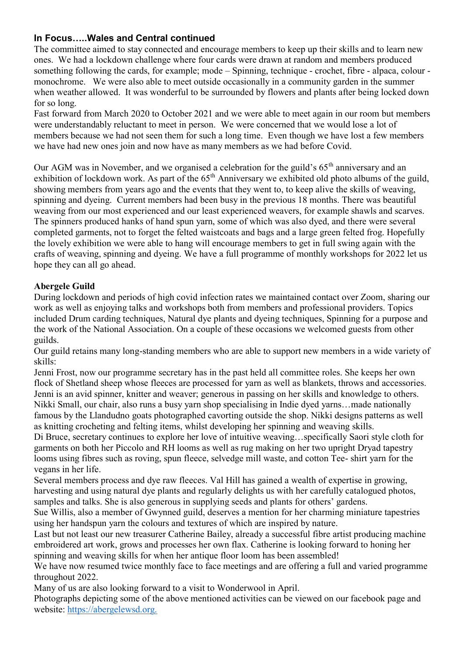# **In Focus…..Wales and Central continued**

The committee aimed to stay connected and encourage members to keep up their skills and to learn new ones. We had a lockdown challenge where four cards were drawn at random and members produced something following the cards, for example; mode – Spinning, technique - crochet, fibre - alpaca, colour monochrome. We were also able to meet outside occasionally in a community garden in the summer when weather allowed. It was wonderful to be surrounded by flowers and plants after being locked down for so long.

Fast forward from March 2020 to October 2021 and we were able to meet again in our room but members were understandably reluctant to meet in person. We were concerned that we would lose a lot of members because we had not seen them for such a long time. Even though we have lost a few members we have had new ones join and now have as many members as we had before Covid.

Our AGM was in November, and we organised a celebration for the guild's 65<sup>th</sup> anniversary and an exhibition of lockdown work. As part of the 65<sup>th</sup> Anniversary we exhibited old photo albums of the guild, showing members from years ago and the events that they went to, to keep alive the skills of weaving, spinning and dyeing. Current members had been busy in the previous 18 months. There was beautiful weaving from our most experienced and our least experienced weavers, for example shawls and scarves. The spinners produced hanks of hand spun yarn, some of which was also dyed, and there were several completed garments, not to forget the felted waistcoats and bags and a large green felted frog. Hopefully the lovely exhibition we were able to hang will encourage members to get in full swing again with the crafts of weaving, spinning and dyeing. We have a full programme of monthly workshops for 2022 let us hope they can all go ahead.

# **Abergele Guild**

During lockdown and periods of high covid infection rates we maintained contact over Zoom, sharing our work as well as enjoying talks and workshops both from members and professional providers. Topics included Drum carding techniques, Natural dye plants and dyeing techniques, Spinning for a purpose and the work of the National Association. On a couple of these occasions we welcomed guests from other guilds.

Our guild retains many long-standing members who are able to support new members in a wide variety of skills:

Jenni Frost, now our programme secretary has in the past held all committee roles. She keeps her own flock of Shetland sheep whose fleeces are processed for yarn as well as blankets, throws and accessories. Jenni is an avid spinner, knitter and weaver; generous in passing on her skills and knowledge to others. Nikki Small, our chair, also runs a busy yarn shop specialising in Indie dyed yarns…made nationally famous by the Llandudno goats photographed cavorting outside the shop. Nikki designs patterns as well as knitting crocheting and felting items, whilst developing her spinning and weaving skills.

Di Bruce, secretary continues to explore her love of intuitive weaving…specifically Saori style cloth for garments on both her Piccolo and RH looms as well as rug making on her two upright Dryad tapestry looms using fibres such as roving, spun fleece, selvedge mill waste, and cotton Tee- shirt yarn for the vegans in her life.

Several members process and dye raw fleeces. Val Hill has gained a wealth of expertise in growing, harvesting and using natural dye plants and regularly delights us with her carefully catalogued photos, samples and talks. She is also generous in supplying seeds and plants for others' gardens.

Sue Willis, also a member of Gwynned guild, deserves a mention for her charming miniature tapestries using her handspun yarn the colours and textures of which are inspired by nature.

Last but not least our new treasurer Catherine Bailey, already a successful fibre artist producing machine embroidered art work, grows and processes her own flax. Catherine is looking forward to honing her spinning and weaving skills for when her antique floor loom has been assembled!

We have now resumed twice monthly face to face meetings and are offering a full and varied programme throughout 2022.

Many of us are also looking forward to a visit to Wonderwool in April.

Photographs depicting some of the above mentioned activities can be viewed on our facebook page and website: [https://abergelewsd.org.](https://abergelewsd.org)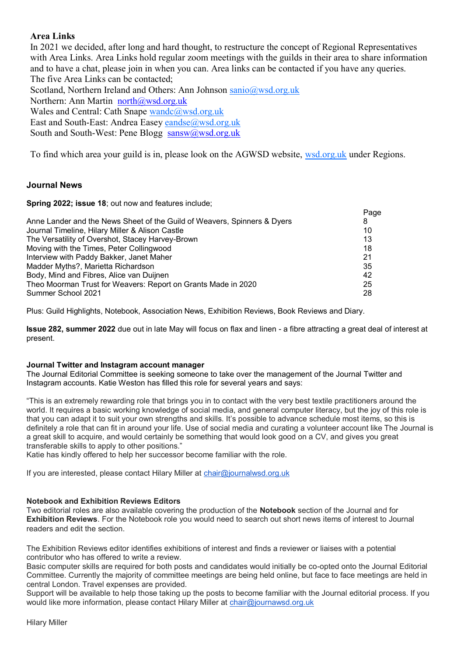## **Area Links**

In 2021 we decided, after long and hard thought, to restructure the concept of Regional Representatives with Area Links. Area Links hold regular zoom meetings with the guilds in their area to share information and to have a chat, please join in when you can. Area links can be contacted if you have any queries. The five Area Links can be contacted; Scotland, Northern Ireland and Others: Ann Johnson [sanio@wsd.org.uk](mailto:sanio@wsd.org.uk) Northern: Ann Martin [north@wsd.org.uk](mailto:north@wsd.org.uk) Wales and Central: Cath Snape [wandc@wsd.org.uk](mailto:wandc@wsd.org.uk) East and South-East: Andrea Easey [eandse@wsd.org.uk](mailto:eandse@wsd.org.uk) South and South-West: Pene Blogg [sansw@wsd.org.uk](mailto:sansw@wsd.org.uk)

To find which area your guild is in, please look on the AGWSD website, [wsd.org.uk](https://wsd.org.uk) under Regions.

## **Journal News**

**Spring 2022; issue 18**; out now and features include;

|                                                                          | Page |
|--------------------------------------------------------------------------|------|
| Anne Lander and the News Sheet of the Guild of Weavers, Spinners & Dyers | 8    |
| Journal Timeline, Hilary Miller & Alison Castle                          | 10   |
| The Versatility of Overshot, Stacey Harvey-Brown                         | 13   |
| Moving with the Times, Peter Collingwood                                 | 18   |
| Interview with Paddy Bakker, Janet Maher                                 | 21   |
| Madder Myths?, Marietta Richardson                                       | 35   |
| Body, Mind and Fibres, Alice van Duijnen                                 | 42   |
| Theo Moorman Trust for Weavers: Report on Grants Made in 2020            | 25   |
| Summer School 2021                                                       | 28   |

Plus: Guild Highlights, Notebook, Association News, Exhibition Reviews, Book Reviews and Diary.

**Issue 282, summer 2022** due out in late May will focus on flax and linen - a fibre attracting a great deal of interest at present.

#### **Journal Twitter and Instagram account manager**

The Journal Editorial Committee is seeking someone to take over the management of the Journal Twitter and Instagram accounts. Katie Weston has filled this role for several years and says:

"This is an extremely rewarding role that brings you in to contact with the very best textile practitioners around the world. It requires a basic working knowledge of social media, and general computer literacy, but the joy of this role is that you can adapt it to suit your own strengths and skills. It's possible to advance schedule most items, so this is definitely a role that can fit in around your life. Use of social media and curating a volunteer account like The Journal is a great skill to acquire, and would certainly be something that would look good on a CV, and gives you great transferable skills to apply to other positions."

Katie has kindly offered to help her successor become familiar with the role.

If you are interested, please contact Hilary Miller at [chair@journalwsd.org.uk](mailto:chair@journalwsd.org.uk)

#### **Notebook and Exhibition Reviews Editors**

Two editorial roles are also available covering the production of the **Notebook** section of the Journal and for **Exhibition Reviews**. For the Notebook role you would need to search out short news items of interest to Journal readers and edit the section.

The Exhibition Reviews editor identifies exhibitions of interest and finds a reviewer or liaises with a potential contributor who has offered to write a review.

Basic computer skills are required for both posts and candidates would initially be co-opted onto the Journal Editorial Committee. Currently the majority of committee meetings are being held online, but face to face meetings are held in central London. Travel expenses are provided.

Support will be available to help those taking up the posts to become familiar with the Journal editorial process. If you would like more information, please contact Hilary Miller at [chair@journawsd.org.uk](mailto:chair@journawsd.org.uk)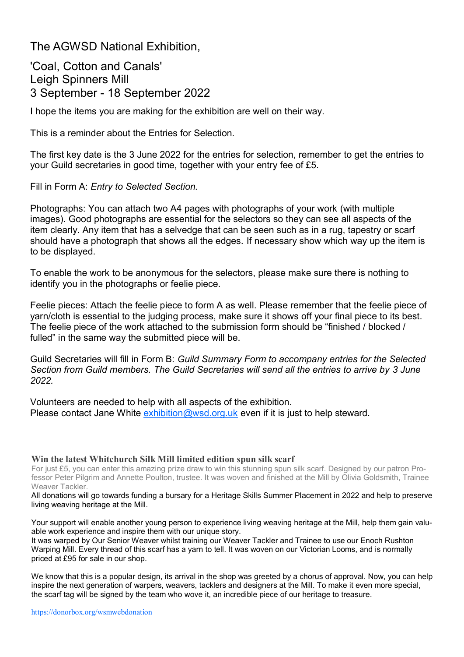The AGWSD National Exhibition,

'Coal, Cotton and Canals' Leigh Spinners Mill 3 September - 18 September 2022

I hope the items you are making for the exhibition are well on their way.

This is a reminder about the Entries for Selection.

The first key date is the 3 June 2022 for the entries for selection, remember to get the entries to your Guild secretaries in good time, together with your entry fee of £5.

Fill in Form A: *Entry to Selected Section.*

Photographs: You can attach two A4 pages with photographs of your work (with multiple images). Good photographs are essential for the selectors so they can see all aspects of the item clearly. Any item that has a selvedge that can be seen such as in a rug, tapestry or scarf should have a photograph that shows all the edges. If necessary show which way up the item is to be displayed.

To enable the work to be anonymous for the selectors, please make sure there is nothing to identify you in the photographs or feelie piece.

Feelie pieces: Attach the feelie piece to form A as well. Please remember that the feelie piece of yarn/cloth is essential to the judging process, make sure it shows off your final piece to its best. The feelie piece of the work attached to the submission form should be "finished / blocked / fulled" in the same way the submitted piece will be.

Guild Secretaries will fill in Form B: *Guild Summary Form to accompany entries for the Selected Section from Guild members. The Guild Secretaries will send all the entries to arrive by 3 June 2022.*

Volunteers are needed to help with all aspects of the exhibition. Please contact Jane White  $exhibition@wsd.org.uk$  even if it is just to help steward.

### **Win the latest Whitchurch Silk Mill limited edition spun silk scarf**

For just £5, you can enter this amazing prize draw to win this stunning spun silk scarf. Designed by our patron Professor Peter Pilgrim and Annette Poulton, trustee. It was woven and finished at the Mill by Olivia Goldsmith, Trainee Weaver Tackler.

All donations will go towards funding a bursary for a Heritage Skills Summer Placement in 2022 and help to preserve living weaving heritage at the Mill.

Your support will enable another young person to experience living weaving heritage at the Mill, help them gain valuable work experience and inspire them with our unique story.

It was warped by Our Senior Weaver whilst training our Weaver Tackler and Trainee to use our Enoch Rushton Warping Mill. Every thread of this scarf has a yarn to tell. It was woven on our Victorian Looms, and is normally priced at £95 for sale in our shop.

We know that this is a popular design, its arrival in the shop was greeted by a chorus of approval. Now, you can help inspire the next generation of warpers, weavers, tacklers and designers at the Mill. To make it even more special, the scarf tag will be signed by the team who wove it, an incredible piece of our heritage to treasure.